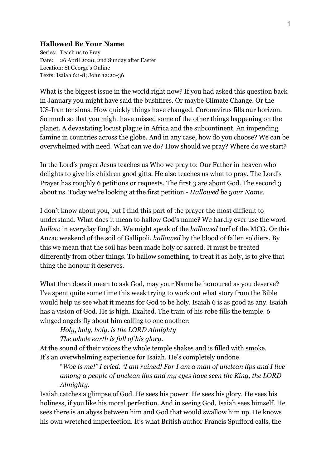## **Hallowed Be Your Name**

Series: Teach us to Pray Date: 26 April 2020, 2nd Sunday after Easter Location: St George's Online Texts: Isaiah 6:1-8; John 12:20-36

What is the biggest issue in the world right now? If you had asked this question back in January you might have said the bushfires. Or maybe Climate Change. Or the US-Iran tensions. How quickly things have changed. Coronavirus fills our horizon. So much so that you might have missed some of the other things happening on the planet. A devastating locust plague in Africa and the subcontinent. An impending famine in countries across the globe. And in any case, how do you choose? We can be overwhelmed with need. What can we do? How should we pray? Where do we start?

In the Lord's prayer Jesus teaches us Who we pray to: Our Father in heaven who delights to give his children good gifts. He also teaches us what to pray. The Lord's Prayer has roughly 6 petitions or requests. The first 3 are about God. The second 3 about us. Today we're looking at the first petition - *Hallowed be your Name.*

I don't know about you, but I find this part of the prayer the most difficult to understand. What does it mean to hallow God's name? We hardly ever use the word *hallow* in everyday English. We might speak of the *hallowed* turf of the MCG. Or this Anzac weekend of the soil of Gallipoli, *hallowed* by the blood of fallen soldiers. By this we mean that the soil has been made holy or sacred. It must be treated differently from other things. To hallow something, to treat it as holy, is to give that thing the honour it deserves.

What then does it mean to ask God, may your Name be honoured as you deserve? I've spent quite some time this week trying to work out what story from the Bible would help us see what it means for God to be holy. Isaiah 6 is as good as any. Isaiah has a vision of God. He is high. Exalted. The train of his robe fills the temple. 6 winged angels fly about him calling to one another:

*Holy, holy, holy, is the LORD Almighty*

*The whole earth is full of his glory.*

At the sound of their voices the whole temple shakes and is filled with smoke. It's an overwhelming experience for Isaiah. He's completely undone.

"*Woe is me!" I cried. "I am ruined! For I am a man of unclean lips and I live among a people of unclean lips and my eyes have seen the King, the LORD Almighty.*

Isaiah catches a glimpse of God. He sees his power. He sees his glory. He sees his holiness, if you like his moral perfection. And in seeing God, Isaiah sees himself. He sees there is an abyss between him and God that would swallow him up. He knows his own wretched imperfection. It's what British author Francis Spufford calls, the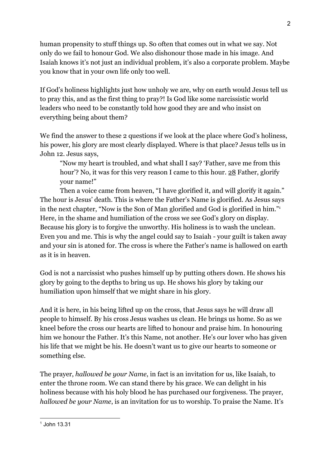human propensity to stuff things up. So often that comes out in what we say. Not only do we fail to honour God. We also dishonour those made in his image. And Isaiah knows it's not just an individual problem, it's also a corporate problem. Maybe you know that in your own life only too well.

If God's holiness highlights just how unholy we are, why on earth would Jesus tell us to pray this, and as the first thing to pray?! Is God like some narcissistic world leaders who need to be constantly told how good they are and who insist on everything being about them?

We find the answer to these 2 questions if we look at the place where God's holiness, his power, his glory are most clearly displayed. Where is that place? Jesus tells us in John 12. Jesus says,

"Now my heart is troubled, and what shall I say? 'Father, save me from this hour'? No, it was for this very reason I came to this hour. 28 Father, glorify your name!"

Then a voice came from heaven, "I have glorified it, and will glorify it again." The hour is Jesus' death. This is where the Father's Name is glorified. As Jesus says in the next chapter, "Now is the Son of Man glorified and God is glorified in him."<sup>1</sup> Here, in the shame and humiliation of the cross we see God's glory on display. Because his glory is to forgive the unworthy. His holiness is to wash the unclean. Even you and me. This is why the angel could say to Isaiah - your guilt is taken away and your sin is atoned for. The cross is where the Father's name is hallowed on earth as it is in heaven.

God is not a narcissist who pushes himself up by putting others down. He shows his glory by going to the depths to bring us up. He shows his glory by taking our humiliation upon himself that we might share in his glory.

And it is here, in his being lifted up on the cross, that Jesus says he will draw all people to himself. By his cross Jesus washes us clean. He brings us home. So as we kneel before the cross our hearts are lifted to honour and praise him. In honouring him we honour the Father. It's this Name, not another. He's our lover who has given his life that we might be his. He doesn't want us to give our hearts to someone or something else.

The prayer, *hallowed be your Name*, in fact is an invitation for us, like Isaiah, to enter the throne room. We can stand there by his grace. We can delight in his holiness because with his holy blood he has purchased our forgiveness. The prayer, *hallowed be your Name*, is an invitation for us to worship. To praise the Name. It's

<sup>1</sup> John 13.31